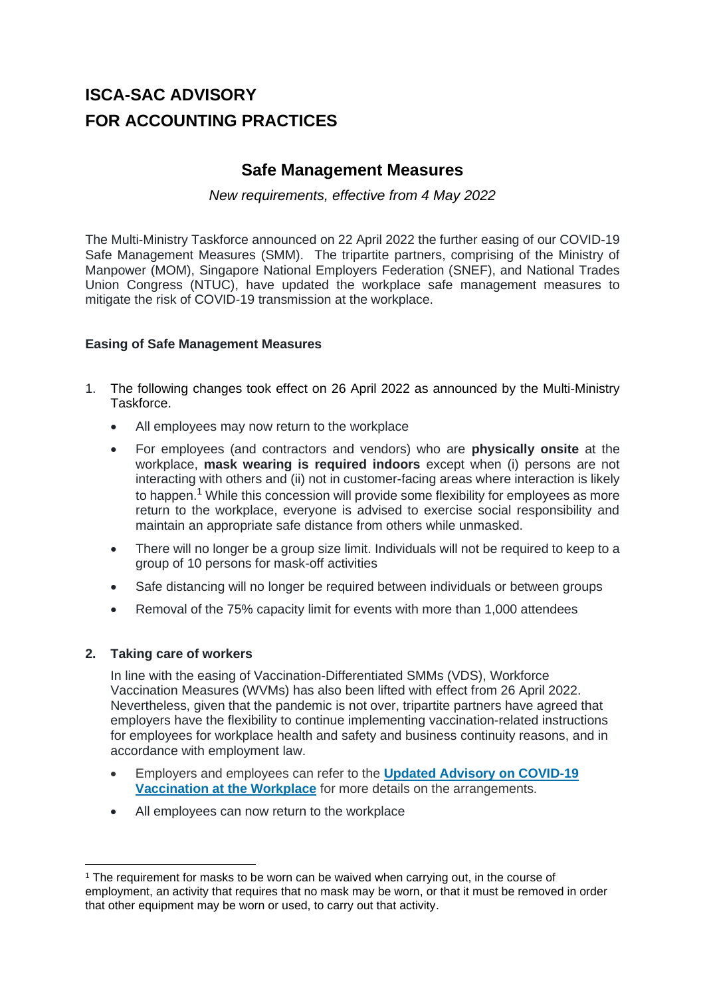# **ISCA-SAC ADVISORY FOR ACCOUNTING PRACTICES**

# **Safe Management Measures**

## *New requirements, effective from 4 May 2022*

The Multi-Ministry Taskforce announced on 22 April 2022 the further easing of our COVID-19 Safe Management Measures (SMM). The tripartite partners, comprising of the Ministry of Manpower (MOM), Singapore National Employers Federation (SNEF), and National Trades Union Congress (NTUC), have updated the workplace safe management measures to mitigate the risk of COVID-19 transmission at the workplace.

## **Easing of Safe Management Measures**

- 1. The following changes took effect on 26 April 2022 as announced by the Multi-Ministry **Taskforce** 
	- All employees may now return to the workplace
	- For employees (and contractors and vendors) who are **physically onsite** at the workplace, **mask wearing is required indoors** except when (i) persons are not interacting with others and (ii) not in customer-facing areas where interaction is likely to happen.<sup>1</sup> While this concession will provide some flexibility for employees as more return to the workplace, everyone is advised to exercise social responsibility and maintain an appropriate safe distance from others while unmasked.
	- There will no longer be a group size limit. Individuals will not be required to keep to a group of 10 persons for mask-off activities
	- Safe distancing will no longer be required between individuals or between groups
	- Removal of the 75% capacity limit for events with more than 1,000 attendees

#### **2. Taking care of workers**

In line with the easing of Vaccination-Differentiated SMMs (VDS), Workforce Vaccination Measures (WVMs) has also been lifted with effect from 26 April 2022. Nevertheless, given that the pandemic is not over, tripartite partners have agreed that employers have the flexibility to continue implementing vaccination-related instructions for employees for workplace health and safety and business continuity reasons, and in accordance with employment law.

- Employers and employees can refer to the **[Updated Advisory on COVID-19](https://www.mom.gov.sg/covid-19/advisory-on-covid-19-vaccination-in-employment-settings)  [Vaccination at the Workplace](https://www.mom.gov.sg/covid-19/advisory-on-covid-19-vaccination-in-employment-settings)** for more details on the arrangements.
- All employees can now return to the workplace

<sup>&</sup>lt;sup>1</sup> The requirement for masks to be worn can be waived when carrying out, in the course of employment, an activity that requires that no mask may be worn, or that it must be removed in order that other equipment may be worn or used, to carry out that activity.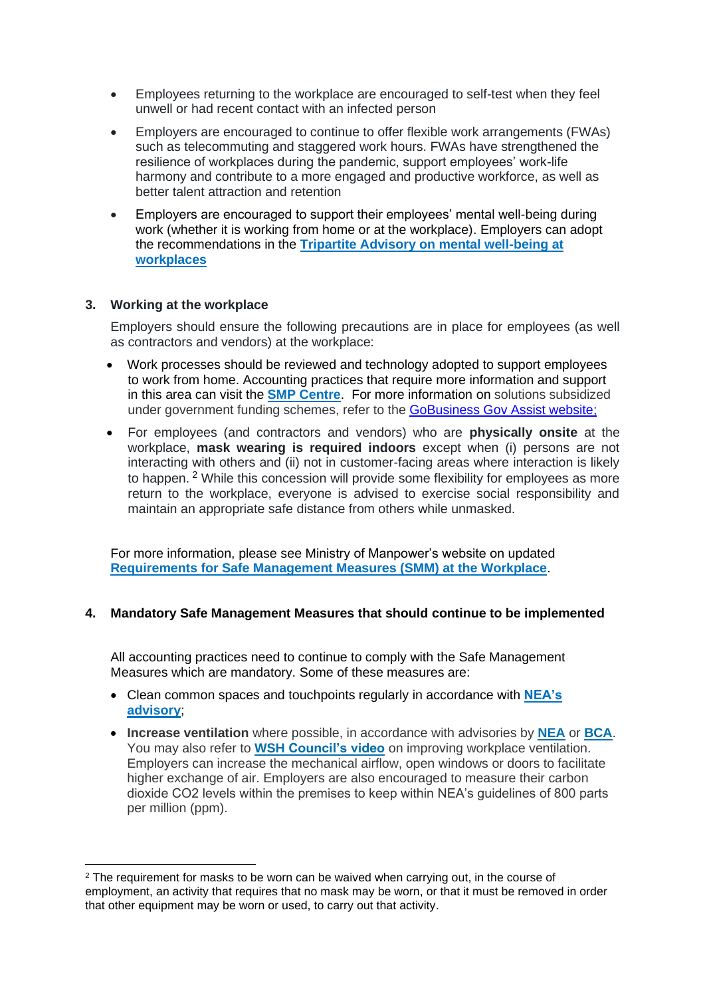- Employees returning to the workplace are encouraged to self-test when they feel unwell or had recent contact with an infected person
- Employers are encouraged to continue to offer flexible work arrangements (FWAs) such as telecommuting and staggered work hours. FWAs have strengthened the resilience of workplaces during the pandemic, support employees' work-life harmony and contribute to a more engaged and productive workforce, as well as better talent attraction and retention
- Employers are encouraged to support their employees' mental well-being during work (whether it is working from home or at the workplace). Employers can adopt the recommendations in the **[Tripartite Advisory on mental well-being at](https://www.mom.gov.sg/covid-19/tripartite-advisory-on-mental-well-being-at-workplaces)  [workplaces](https://www.mom.gov.sg/covid-19/tripartite-advisory-on-mental-well-being-at-workplaces)**

#### **3. Working at the workplace**

Employers should ensure the following precautions are in place for employees (as well as contractors and vendors) at the workplace:

- Work processes should be reviewed and technology adopted to support employees to work from home. Accounting practices that require more information and support in this area can visit the **[SMP Centre](https://smpcentre.org.sg/services/digital-solutions)**. For more information on solutions subsidized under government funding schemes, refer to the [GoBusiness Gov Assist website;](https://www.gobusiness.gov.sg/productivity-solutions-grant/)
- For employees (and contractors and vendors) who are **physically onsite** at the workplace, **mask wearing is required indoors** except when (i) persons are not interacting with others and (ii) not in customer-facing areas where interaction is likely to happen. <sup>2</sup> While this concession will provide some flexibility for employees as more return to the workplace, everyone is advised to exercise social responsibility and maintain an appropriate safe distance from others while unmasked.

For more information, please see Ministry of Manpower's website on updated **[Requirements for Safe Management Measures \(SMM\) at the Workplace](https://www.mom.gov.sg/covid-19/requirements-for-safe-management-measures)**.

#### **4. Mandatory Safe Management Measures that should continue to be implemented**

All accounting practices need to continue to comply with the Safe Management Measures which are mandatory. Some of these measures are:

- Clean common spaces and touchpoints regularly in accordance with **[NEA's](https://www.nea.gov.sg/our-services/public-cleanliness/environmental-cleaning-guidelines/guidelines/guidelines-for-in-house-cleaning-and-disinfection-of-areas-exposed-to-covid-19-cases-in-non-healthcare-premises)  [advisory](https://www.nea.gov.sg/our-services/public-cleanliness/environmental-cleaning-guidelines/guidelines/guidelines-for-in-house-cleaning-and-disinfection-of-areas-exposed-to-covid-19-cases-in-non-healthcare-premises)**;
- **Increase ventilation** where possible, in accordance with advisories by **[NEA](https://www.nea.gov.sg/our-services/public-cleanliness/environmental-cleaning-guidelines/advisories/guidance-on-improving-ventilation-and-indoor-air-quality-in-buildings-amid-the-covid-19-situation)** or **[BCA](https://www1.bca.gov.sg/about-us/news-and-publications/circulars/2021/09/26/updated-guidance-note-on-improving-ventilation-and-indoor-air-quality-in-buildings-amid-the-covid-19-situation)**. You may also refer to **WSH [Council's video](https://youtu.be/SFDTTBGvfHc)** on improving workplace ventilation. Employers can increase the mechanical airflow, open windows or doors to facilitate higher exchange of air. Employers are also encouraged to measure their carbon dioxide CO2 levels within the premises to keep within NEA's guidelines of 800 parts per million (ppm).

 $2$  The requirement for masks to be worn can be waived when carrying out, in the course of employment, an activity that requires that no mask may be worn, or that it must be removed in order that other equipment may be worn or used, to carry out that activity.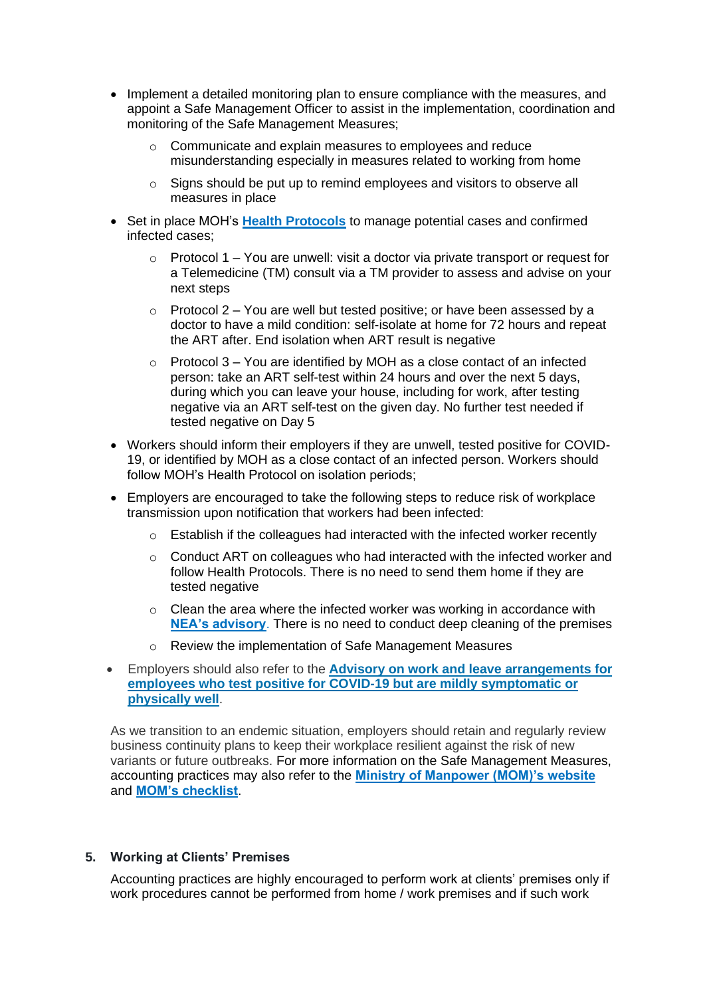- Implement a detailed monitoring plan to ensure compliance with the measures, and appoint a Safe Management Officer to assist in the implementation, coordination and monitoring of the Safe Management Measures;
	- o Communicate and explain measures to employees and reduce misunderstanding especially in measures related to working from home
	- $\circ$  Signs should be put up to remind employees and visitors to observe all measures in place
- Set in place MOH's **[Health Protocols](https://www.covid.gov.sg/)** to manage potential cases and confirmed infected cases;
	- $\circ$  Protocol 1 You are unwell: visit a doctor via private transport or request for a Telemedicine (TM) consult via a TM provider to assess and advise on your next steps
	- $\circ$  Protocol 2 You are well but tested positive; or have been assessed by a doctor to have a mild condition: self-isolate at home for 72 hours and repeat the ART after. End isolation when ART result is negative
	- $\circ$  Protocol 3 You are identified by MOH as a close contact of an infected person: take an ART self-test within 24 hours and over the next 5 days, during which you can leave your house, including for work, after testing negative via an ART self-test on the given day. No further test needed if tested negative on Day 5
- Workers should inform their employers if they are unwell, tested positive for COVID-19, or identified by MOH as a close contact of an infected person. Workers should follow MOH's Health Protocol on isolation periods;
- Employers are encouraged to take the following steps to reduce risk of workplace transmission upon notification that workers had been infected:
	- $\circ$  Establish if the colleagues had interacted with the infected worker recently
	- $\circ$  Conduct ART on colleagues who had interacted with the infected worker and follow Health Protocols. There is no need to send them home if they are tested negative
	- o Clean the area where the infected worker was working in accordance with **[NEA's advisory](https://www.nea.gov.sg/our-services/public-cleanliness/environmental-cleaning-guidelines/guidelines/guidelines-for-in-house-cleaning-and-disinfection-of-areas-exposed-to-covid-19-cases-in-non-healthcare-premises)**. There is no need to conduct deep cleaning of the premises
	- o Review the implementation of Safe Management Measures
- Employers should also refer to the **[Advisory on work and leave arrangements for](https://www.mom.gov.sg/covid-19/advisory-on-work-and-leave-arrangements-for-employees-who-test-art-positive-but-are-physically-well)  [employees who test positive for COVID-19 but are mildly symptomatic or](https://www.mom.gov.sg/covid-19/advisory-on-work-and-leave-arrangements-for-employees-who-test-art-positive-but-are-physically-well)  [physically well](https://www.mom.gov.sg/covid-19/advisory-on-work-and-leave-arrangements-for-employees-who-test-art-positive-but-are-physically-well)**.

As we transition to an endemic situation, employers should retain and regularly review business continuity plans to keep their workplace resilient against the risk of new variants or future outbreaks. For more information on the Safe Management Measures, accounting practices may also refer to the **[Ministry of Manpower \(MOM\)'s website](https://www.mom.gov.sg/covid-19/requirements-for-safe-management-measures)** and **[MOM's checklist](https://www.mom.gov.sg/-/media/mom/documents/covid-19/annex-b-checklist-of-safe-management-measures.pdf)**.

#### **5. Working at Clients' Premises**

Accounting practices are highly encouraged to perform work at clients' premises only if work procedures cannot be performed from home / work premises and if such work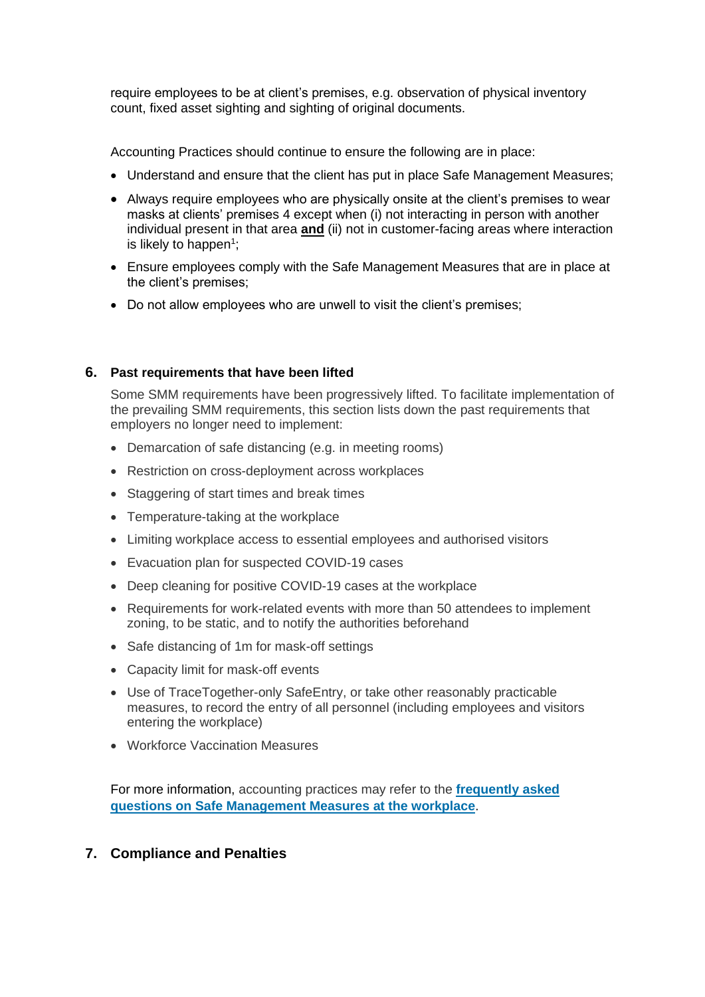require employees to be at client's premises, e.g. observation of physical inventory count, fixed asset sighting and sighting of original documents.

Accounting Practices should continue to ensure the following are in place:

- Understand and ensure that the client has put in place Safe Management Measures;
- Always require employees who are physically onsite at the client's premises to wear masks at clients' premises 4 except when (i) not interacting in person with another individual present in that area **and** (ii) not in customer-facing areas where interaction is likely to happen<sup>1</sup>;
- Ensure employees comply with the Safe Management Measures that are in place at the client's premises;
- Do not allow employees who are unwell to visit the client's premises;

#### **6. Past requirements that have been lifted**

Some SMM requirements have been progressively lifted. To facilitate implementation of the prevailing SMM requirements, this section lists down the past requirements that employers no longer need to implement:

- Demarcation of safe distancing (e.g. in meeting rooms)
- Restriction on cross-deployment across workplaces
- Staggering of start times and break times
- Temperature-taking at the workplace
- Limiting workplace access to essential employees and authorised visitors
- Evacuation plan for suspected COVID-19 cases
- Deep cleaning for positive COVID-19 cases at the workplace
- Requirements for work-related events with more than 50 attendees to implement zoning, to be static, and to notify the authorities beforehand
- Safe distancing of 1m for mask-off settings
- Capacity limit for mask-off events
- Use of TraceTogether-only SafeEntry, or take other reasonably practicable measures, to record the entry of all personnel (including employees and visitors entering the workplace)
- Workforce Vaccination Measures

For more information, accounting practices may refer to the **[frequently asked](https://www.mom.gov.sg/covid-19/frequently-asked-questions/safe-management-measures)  [questions on Safe Management Measures at the workplace](https://www.mom.gov.sg/covid-19/frequently-asked-questions/safe-management-measures)**.

# **7. Compliance and Penalties**